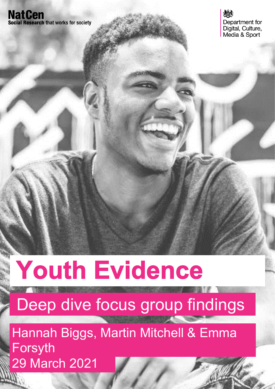## **NatCen Social Research that works for society**



# **Youth Evidence**

## Deep dive focus group findings

29 March 2021 Hannah Biggs, Martin Mitchell & Emma Forsyth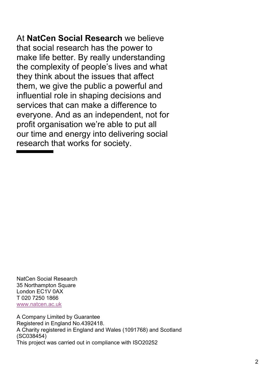At **NatCen Social Research** we believe that social research has the power to make life better. By really understanding the complexity of people's lives and what they think about the issues that affect them, we give the public a powerful and influential role in shaping decisions and services that can make a difference to everyone. And as an independent, not for profit organisation we're able to put all our time and energy into delivering social research that works for society.

NatCen Social Research 35 Northampton Square London EC1V 0AX T 020 7250 1866 [www.natcen.ac.uk](http://www.natcen.ac.uk/)

A Company Limited by Guarantee Registered in England No.4392418. A Charity registered in England and Wales (1091768) and Scotland (SC038454) This project was carried out in compliance with ISO20252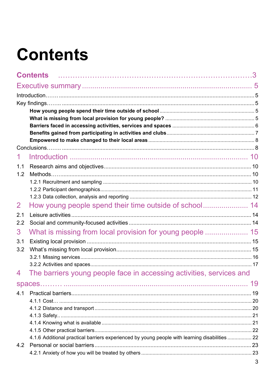## <span id="page-2-0"></span>**Contents**

|     | <b>Contents</b>                                                                                |  |
|-----|------------------------------------------------------------------------------------------------|--|
|     |                                                                                                |  |
|     |                                                                                                |  |
|     |                                                                                                |  |
|     |                                                                                                |  |
|     |                                                                                                |  |
|     |                                                                                                |  |
|     |                                                                                                |  |
|     |                                                                                                |  |
| 1.1 |                                                                                                |  |
| 1.2 |                                                                                                |  |
|     |                                                                                                |  |
|     |                                                                                                |  |
|     |                                                                                                |  |
| 2   |                                                                                                |  |
| 2.1 |                                                                                                |  |
| 2.2 |                                                                                                |  |
| 3   |                                                                                                |  |
| 3.1 |                                                                                                |  |
| 3.2 |                                                                                                |  |
|     |                                                                                                |  |
|     |                                                                                                |  |
| 4   | The barriers young people face in accessing activities, services and                           |  |
|     |                                                                                                |  |
| 4.1 |                                                                                                |  |
|     |                                                                                                |  |
|     |                                                                                                |  |
|     |                                                                                                |  |
|     |                                                                                                |  |
|     | 4.1.6 Additional practical barriers experienced by young people with learning disabilities  22 |  |
| 4.2 |                                                                                                |  |
|     |                                                                                                |  |
|     |                                                                                                |  |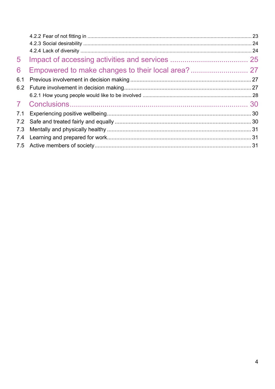| 5   |  |
|-----|--|
| 6   |  |
| 6.1 |  |
| 6.2 |  |
|     |  |
|     |  |
|     |  |
|     |  |
|     |  |
|     |  |
|     |  |
|     |  |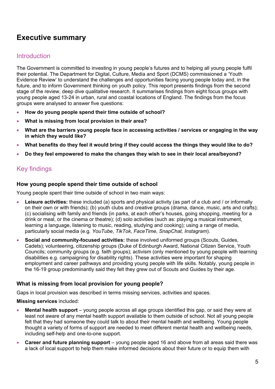## <span id="page-4-0"></span>**Executive summary**

## <span id="page-4-1"></span>**Introduction**

The Government is committed to investing in young people's futures and to helping all young people fulfil their potential. The Department for Digital, Culture, Media and Sport (DCMS) commissioned a 'Youth Evidence Review' to understand the challenges and opportunities facing young people today and, in the future, and to inform Government thinking on youth policy. This report presents findings from the second stage of the review, deep dive qualitative research. It summarises findings from eight focus groups with young people aged 13-24 in urban, rural and coastal locations of England. The findings from the focus groups were analysed to answer five questions:

- **How do young people spend their time outside of school?**
- **What is missing from local provision in their area?**
- **What are the barriers young people face in accessing activities / services or engaging in the way in which they would like?**
- **What benefits do they feel it would bring if they could access the things they would like to do?**
- **Do they feel empowered to make the changes they wish to see in their local area/beyond?**

## <span id="page-4-2"></span>Key findings

#### <span id="page-4-3"></span>**How young people spend their time outside of school**

Young people spent their time outside of school in two main ways:

- **Leisure activities:** these included (a) sports and physical activity (as part of a club and / or informally on their own or with friends); (b) youth clubs and creative groups (drama, dance, music, arts and crafts); (c) socialising with family and friends (in parks, at each other's houses, going shopping, meeting for a drink or meal, or the cinema or theatre); (d) solo activities (such as: playing a musical instrument, learning a language, listening to music, reading, studying and cooking); using a range of media, particularly social media (e.g*. YouTube*, *TikTok*, *FaceTime*, *SnapChat, Instagram*).
- **Social and community-focused activities:** these involved uniformed groups (Scouts, Guides, Cadets); volunteering, citizenship groups (Duke of Edinburgh Award, National Citizen Service, Youth Councils; community groups (e.g. faith groups); activism (only mentioned by young people with learning disabilities e.g. campaigning for disability rights). These activities were important for shaping employment and career pathways and providing young people with life skills. Notably, young people in the 16-19 group predominantly said they felt they grew out of Scouts and Guides by their age.

#### <span id="page-4-4"></span>**What is missing from local provision for young people?**

Gaps in local provision was described in terms missing services, activities and spaces.

#### **Missing services** included:

- **Mental health support** young people across all age groups identified this gap, or said they were at least not aware of any mental health support available to them outside of school. Not all young people felt that they had someone they could talk to about their mental health and wellbeing. Young people thought a variety of forms of support are needed to meet different mental health and wellbeing needs, including self-help and one-to-one support.
- **Career and future planning support** young people aged 16 and above from all areas said there was a lack of local support to help them make informed decisions about their future or to equip them with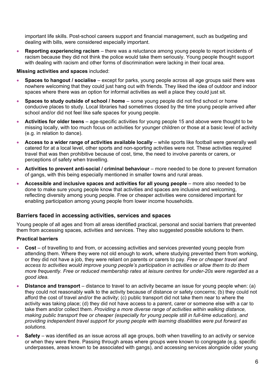important life skills. Post-school careers support and financial management, such as budgeting and dealing with bills, were considered especially important.

• **Reporting experiencing racism** – there was a reluctance among young people to report incidents of racism because they did not think the police would take them seriously. Young people thought support with dealing with racism and other forms of discrimination were lacking in their local area.

#### **Missing activities and spaces** included:

- **Spaces to hangout / socialise** except for parks, young people across all age groups said there was nowhere welcoming that they could just hang out with friends. They liked the idea of outdoor and indoor spaces where there was an option for informal activities as well a place they could just sit.
- **Spaces to study outside of school / home**  some young people did not find school or home conducive places to study. Local libraries had sometimes closed by the time young people arrived after school and/or did not feel like safe spaces for young people.
- **Activities for older teens** age-specific activities for young people 15 and above were thought to be missing locally, with too much focus on activities for younger children or those at a basic level of activity (e.g. in relation to dance).
- **Access to a wider range of activities available locally** while sports like football were generally well catered for at a local level, other sports and non-sporting activities were not. These activities required travel that was then prohibitive because of cost, time, the need to involve parents or carers, or perceptions of safety when travelling.
- **Activities to prevent anti-social / criminal behaviour** more needed to be done to prevent formation of gangs, with this being especially mentioned in smaller towns and rural areas.
- **Accessible and inclusive spaces and activities for all young people** more also needed to be done to make sure young people know that activities and spaces are inclusive and welcoming, reflecting diversity among young people. Free or cheaper activities were considered important for enabling participation among young people from lower income households.

#### <span id="page-5-0"></span>**Barriers faced in accessing activities, services and spaces**

Young people of all ages and from all areas identified practical, personal and social barriers that prevented them from accessing spaces, activities and services. They also suggested possible solutions to them.

#### **Practical barriers**

- **Cost**  of travelling to and from, or accessing activities and services prevented young people from attending them. Where they were not old enough to work, where studying prevented them from working, or they did not have a job, they were reliant on parents or carers to pay. *Free or cheaper travel and access to activities would improve young people's participation in activities or allow them to do them more frequently. Free or reduced membership rates at leisure centres for under-20s were regarded as a good idea.*
- **Distance and transport** distance to travel to an activity became an issue for young people when: (a) they could not reasonably walk to the activity because of distance or safety concerns; (b) they could not afford the cost of travel and/or the activity; (c) public transport did not take them near to where the activity was taking place; (d) they did not have access to a parent, carer or someone else with a car to take them and/or collect them. *Providing a more diverse range of activities within walking distance, making public transport free or cheaper (especially for young people still in full-time education), and providing independent travel support for young people with learning disabilities were put forward as solutions.*
- **Safety**  was identified as an issue across all age groups, both when travelling to an activity or service or when they were there. Passing through areas where groups were known to congregate (e.g. specific underpasses, areas known to be associated with gangs), and accessing services alongside older young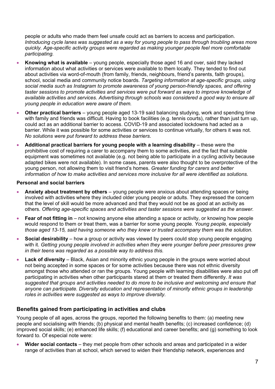people or adults who made them feel unsafe could act as barriers to access and participation. *Introducing cycle lanes was suggested as a way for young people to pass through troubling areas more quickly. Age-specific activity groups were regarded as making younger people feel more comfortable participating.*

- **Knowing what is available** young people, especially those aged 16 and over, said they lacked information about what activities or services were available to them locally. They tended to find out about activities via word-of-mouth (from family, friends, neighbours, friend's parents, faith groups), school, social media and community notice boards. *Targeting information at age-specific groups, using social media such as Instagram to promote awareness of young person-friendly spaces, and offering taster sessions to promote activities and services were put forward as ways to improve knowledge of available activities and services. Advertising through schools was considered a good way to ensure all young people in education were aware of them.*
- **Other practical barriers** young people aged 13-19 said balancing studying, work and spending time with family and friends was difficult. Having to book facilities (e.g. tennis courts), rather than just turn up, could act as an additional barrier to access. COVID-19 and associated lockdowns had acted as a barrier. While it was possible for some activities or services to continue virtually, for others it was not. *No solutions were put forward to address these barriers.*
- **Additional practical barriers for young people with a learning disability**  these were the prohibitive cost of requiring a carer to accompany them to some activities, and the fact that suitable equipment was sometimes not available (e.g. not being able to participate in a cycling activity because adapted bikes were not available). In some cases, parents were also thought to be overprotective of the young person, not allowing them to visit friend's homes. *Greater funding for carers and better information of how to make activities and services more inclusive for all were identified as solutions.*

#### **Personal and social barriers**

- **Anxiety about treatment by others** young people were anxious about attending spaces or being involved with activities where they included older young people or adults. They expressed the concern that the level of skill would be more advanced and that they would not be as good at an activity as others. *Offering age-specific spaces and activities and taster sessions were suggested as the answer.*
- **Fear of not fitting in** not knowing anyone else attending a space or activity, or knowing how people would respond to them or treat them, was a barrier for some young people. *Young people, especially those aged 13-15, said having someone who they knew or trusted accompany them was the solution.*
- **Social desirability** how a group or activity was viewed by peers could stop young people engaging with it. *Getting young people involved in activities when they were younger before peer pressures grew in their teens was regarded as a possible way to address this.*
- **Lack of diversity** Black, Asian and minority ethnic young people in the groups were worried about not being accepted in some spaces or for some activities because there was not ethnic diversity amongst those who attended or ran the groups. Young people with learning disabilities were also put off participating in activities when other participants stared at them or treated them differently. *It was suggested that groups and activities needed to do more to be inclusive and welcoming and ensure that anyone can participate. Diversity education and representation of minority ethnic groups in leadership roles in activities were suggested as ways to improve diversity.*

#### <span id="page-6-0"></span>**Benefits gained from participating in activities and clubs**

Young people of all ages, across the groups, reported the following benefits to them: (a) meeting new people and socialising with friends; (b) physical and mental health benefits; (c) increased confidence; (d) improved social skills; (e) enhanced life skills; (f) educational and career benefits; and (g) something to look forward to. Of especial note were:

• **Wider social contacts** – they met people from other schools and areas and participated in a wider range of activities than at school, which served to widen their friendship network, experiences and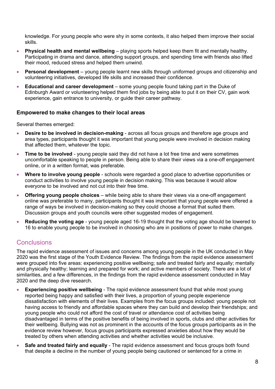knowledge. For young people who were shy in some contexts, it also helped them improve their social skills.

- **Physical health and mental wellbeing** playing sports helped keep them fit and mentally healthy. Participating in drama and dance, attending support groups, and spending time with friends also lifted their mood, reduced stress and helped them unwind.
- **Personal development**  young people learnt new skills through uniformed groups and citizenship and volunteering initiatives, developed life skills and increased their confidence.
- **Educational and career development** some young people found taking part in the Duke of Edinburgh Award or volunteering helped them find jobs by being able to put it on their CV, gain work experience, gain entrance to university, or guide their career pathway.

#### <span id="page-7-0"></span>**Empowered to make changes to their local areas**

Several themes emerged:

- **Desire to be involved in decision-making** across all focus groups and therefore age groups and area types, participants thought it was important that young people were involved in decision making that affected them, whatever the topic.
- **Time to be involved** young people said they did not have a lot free time and were sometimes uncomfortable speaking to people in person. Being able to share their views via a one-off engagement online, or in a written format, was preferable.
- **Where to involve young people** schools were regarded a good place to advertise opportunities or conduct activities to involve young people in decision making. This was because it would allow everyone to be involved and not cut into their free time.
- **Offering young people choices**  while being able to share their views via a one-off engagement online was preferable to many, participants thought it was important that young people were offered a range of ways be involved in decision-making so they could choose a format that suited them. Discussion groups and youth councils were other suggested modes of engagement.
- **Reducing the voting age** young people aged 16-19 thought that the voting age should be lowered to 16 to enable young people to be involved in choosing who are in positions of power to make changes.

## <span id="page-7-1"></span>**Conclusions**

The rapid evidence assessment of issues and concerns among young people in the UK conducted in May 2020 was the first stage of the Youth Evidence Review. The findings from the rapid evidence assessment were grouped into five areas: experiencing positive wellbeing; safe and treated fairly and equally; mentally and physically healthy; learning and prepared for work; and active members of society. There are a lot of similarities, and a few differences, in the findings from the rapid evidence assessment conducted in May 2020 and the deep dive research.

- **Experiencing positive wellbeing** The rapid evidence assessment found that while most young reported being happy and satisfied with their lives, a proportion of young people experience dissatisfaction with elements of their lives. Examples from the focus groups included: young people not having access to friendly and affordable spaces where they can build and develop their friendships; and young people who could not afford the cost of travel or attendance cost of activities being disadvantaged in terms of the positive benefits of being involved in sports, clubs and other activities for their wellbeing. Bullying was not as prominent in the accounts of the focus groups participants as in the evidence review however, focus groups participants expressed anxieties about how they would be treated by others when attending activities and whether activities would be inclusive.
- **Safe and treated fairly and equally** The rapid evidence assessment and focus groups both found that despite a decline in the number of young people being cautioned or sentenced for a crime in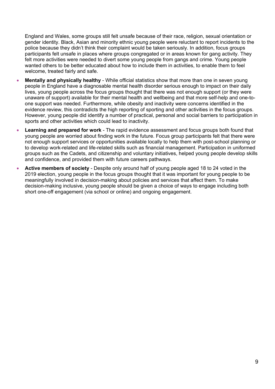England and Wales, some groups still felt unsafe because of their race, religion, sexual orientation or gender identity. Black, Asian and minority ethnic young people were reluctant to report incidents to the police because they didn't think their complaint would be taken seriously. In addition, focus groups participants felt unsafe in places where groups congregated or in areas known for gang activity. They felt more activities were needed to divert some young people from gangs and crime. Young people wanted others to be better educated about how to include them in activities, to enable them to feel welcome, treated fairly and safe.

- **Mentally and physically healthy** While official statistics show that more than one in seven young people in England have a diagnosable mental health disorder serious enough to impact on their daily lives, young people across the focus groups thought that there was not enough support (or they were unaware of support) available for their mental health and wellbeing and that more self-help and one-toone support was needed. Furthermore, while obesity and inactivity were concerns identified in the evidence review, this contradicts the high reporting of sporting and other activities in the focus groups. However, young people did identify a number of practical, personal and social barriers to participation in sports and other activities which could lead to inactivity.
- **Learning and prepared for work** The rapid evidence assessment and focus groups both found that young people are worried about finding work in the future. Focus group participants felt that there were not enough support services or opportunities available locally to help them with post-school planning or to develop work-related and life-related skills such as financial management. Participation in uniformed groups such as the Cadets, and citizenship and voluntary initiatives, helped young people develop skills and confidence, and provided them with future careers pathways.
- **Active members of society** Despite only around half of young people aged 18 to 24 voted in the 2019 election, young people in the focus groups thought that it was important for young people to be meaningfully involved in decision-making about policies and services that affect them. To make decision-making inclusive, young people should be given a choice of ways to engage including both short one-off engagement (via school or online) and ongoing engagement.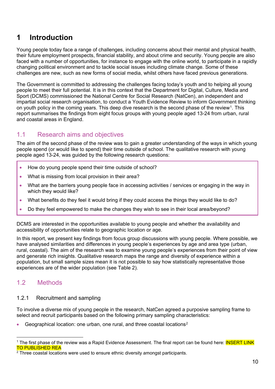## <span id="page-9-0"></span>**1 Introduction**

Young people today face a range of challenges, including concerns about their mental and physical health, their future employment prospects, financial stability, and about crime and security. Young people are also faced with a number of opportunities, for instance to engage with the online world, to participate in a rapidly changing political environment and to tackle social issues including climate change. Some of these challenges are new, such as new forms of social media, whilst others have faced previous generations.

The Government is committed to addressing the challenges facing today's youth and to helping all young people to meet their full potential. It is in this context that the Department for Digital, Culture, Media and Sport (DCMS) commissioned the National Centre for Social Research (NatCen), an independent and impartial social research organisation, to conduct a Youth Evidence Review to inform Government thinking on youth policy in the coming years. This deep dive research is the second phase of the review[1](#page-9-4). This report summarises the findings from eight focus groups with young people aged 13-24 from urban, rural and coastal areas in England.

## <span id="page-9-1"></span>1.1 Research aims and objectives

The aim of the second phase of the review was to gain a greater understanding of the ways in which young people spend (or would like to spend) their time outside of school. The qualitative research with young people aged 13-24, was guided by the following research questions:

- How do young people spend their time outside of school?
- What is missing from local provision in their area?
- What are the barriers young people face in accessing activities / services or engaging in the way in which they would like?
- What benefits do they feel it would bring if they could access the things they would like to do?
- Do they feel empowered to make the changes they wish to see in their local area/beyond?

DCMS are interested in the opportunities available to young people and whether the availability and accessibility of opportunities relate to geographic location or age.

In this report, we present key findings from focus group discussions with young people. Where possible, we have analysed similarities and differences in young people's experiences by age and area type (urban, rural, coastal). The aim of the research was to examine young people's experiences from their point of view and generate rich insights. Qualitative research maps the range and diversity of experience within a population, but small sample sizes mean it is not possible to say how statistically representative those experiences are of the wider population (see Table 2).

## <span id="page-9-2"></span>1.2 Methods

#### <span id="page-9-3"></span>1.2.1 Recruitment and sampling

To involve a diverse mix of young people in the research, NatCen agreed a purposive sampling frame to select and recruit participants based on the following primary sampling characteristics:

• Geographical location: one urban, one rural, and three coastal locations[2](#page-9-5)

<span id="page-9-4"></span><sup>&</sup>lt;sup>1</sup> The first phase of the review was a Rapid Evidence Assessment. The final report can be found here: **INSERT LINK** TO PUBLISHED REA

<span id="page-9-5"></span> $2$  Three coastal locations were used to ensure ethnic diversity amongst participants.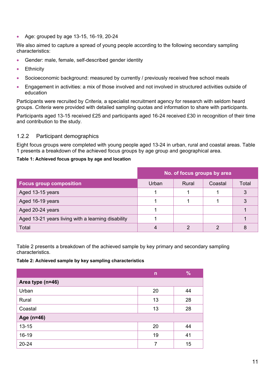• Age: grouped by age 13-15, 16-19, 20-24

We also aimed to capture a spread of young people according to the following secondary sampling characteristics:

- Gender: male, female, self-described gender identity
- **Ethnicity**
- Socioeconomic background: measured by currently / previously received free school meals
- Engagement in activities: a mix of those involved and not involved in structured activities outside of education

Participants were recruited by *Criteria,* a specialist recruitment agency for research with seldom heard groups. *Criteria* were provided with detailed sampling quotas and information to share with participants.

Participants aged 13-15 received £25 and participants aged 16-24 received £30 in recognition of their time and contribution to the study.

#### <span id="page-10-0"></span>1.2.2 Participant demographics

Eight focus groups were completed with young people aged 13-24 in urban, rural and coastal areas. Table 1 presents a breakdown of the achieved focus groups by age group and geographical area.

#### **Table 1: Achieved focus groups by age and location**

|                                                    | No. of focus groups by area |       |         |       |
|----------------------------------------------------|-----------------------------|-------|---------|-------|
| <b>Focus group composition</b>                     | Urban                       | Rural | Coastal | Total |
| Aged 13-15 years                                   |                             |       |         |       |
| Aged 16-19 years                                   |                             |       |         |       |
| Aged 20-24 years                                   |                             |       |         |       |
| Aged 13-21 years living with a learning disability |                             |       |         |       |
| Total                                              |                             |       |         |       |

Table 2 presents a breakdown of the achieved sample by key primary and secondary sampling characteristics.

**Table 2: Achieved sample by key sampling characteristics**

|                  | n  | %  |
|------------------|----|----|
| Area type (n=46) |    |    |
| Urban            | 20 | 44 |
| Rural            | 13 | 28 |
| Coastal          | 13 | 28 |
| Age (n=46)       |    |    |
| $13 - 15$        | 20 | 44 |
| $16 - 19$        | 19 | 41 |
| $20 - 24$        | 7  | 15 |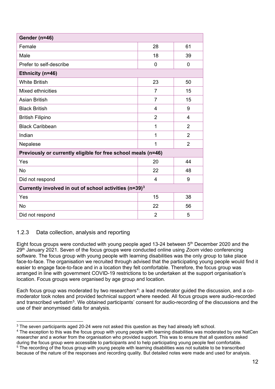| Gender (n=46)                                                      |                |                |  |  |  |
|--------------------------------------------------------------------|----------------|----------------|--|--|--|
| Female                                                             | 28             | 61             |  |  |  |
| Male                                                               | 18             | 39             |  |  |  |
| Prefer to self-describe                                            | 0              | $\mathbf 0$    |  |  |  |
| Ethnicity (n=46)                                                   |                |                |  |  |  |
| <b>White British</b>                                               | 23             | 50             |  |  |  |
| Mixed ethnicities                                                  | $\overline{7}$ | 15             |  |  |  |
| <b>Asian British</b>                                               | $\overline{7}$ | 15             |  |  |  |
| <b>Black British</b>                                               | 4              | 9              |  |  |  |
| <b>British Filipino</b>                                            | $\overline{2}$ | 4              |  |  |  |
| <b>Black Caribbean</b>                                             | 1              | 2              |  |  |  |
| Indian                                                             | 1              | $\overline{2}$ |  |  |  |
| Nepalese                                                           | 1              | $\overline{2}$ |  |  |  |
| Previously or currently eligible for free school meals (n=46)      |                |                |  |  |  |
| Yes                                                                | 20             | 44             |  |  |  |
| <b>No</b>                                                          | 22             | 48             |  |  |  |
| Did not respond                                                    | 4              | 9              |  |  |  |
| Currently involved in out of school activities (n=39) <sup>3</sup> |                |                |  |  |  |
| Yes                                                                | 15             | 38             |  |  |  |
| <b>No</b>                                                          | 22             | 56             |  |  |  |
| Did not respond                                                    | $\overline{2}$ | 5              |  |  |  |

#### <span id="page-11-0"></span>1.2.3 Data collection, analysis and reporting

Eight focus groups were conducted with young people aged 13-24 between 5th December 2020 and the 29th January 2021. Seven of the focus groups were conducted online using *Zoom* video conferencing software. The focus group with young people with learning disabilities was the only group to take place face-to-face. The organisation we recruited through advised that the participating young people would find it easier to engage face-to-face and in a location they felt comfortable. Therefore, the focus group was arranged in line with government COVID-19 restrictions to be undertaken at the support organisation's location. Focus groups were organised by age group and location.

Each focus group was moderated by two researchers<sup>[4](#page-11-1)</sup>: a lead moderator guided the discussion, and a comoderator took notes and provided technical support where needed. All focus groups were audio-recorded and transcribed verbatim[5](#page-11-2). We obtained participants' consent for audio-recording of the discussions and the use of their anonymised data for analysis.

<span id="page-11-3"></span><sup>&</sup>lt;sup>3</sup> The seven participants aged 20-24 were not asked this question as they had already left school.

<span id="page-11-2"></span><span id="page-11-1"></span><sup>&</sup>lt;sup>4</sup> The exception to this was the focus group with young people with learning disabilities was moderated by one NatCen researcher and a worker from the organisation who provided support. This was to ensure that all questions asked during the focus group were accessible to participants and to help participating young people feel comfortable. <sup>5</sup> The recording of the focus group with young people with learning disabilities was not suitable to be transcribed because of the nature of the responses and recording quality. But detailed notes were made and used for analysis.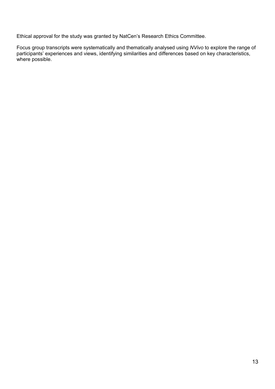Ethical approval for the study was granted by NatCen's Research Ethics Committee.

Focus group transcripts were systematically and thematically analysed using *NVivo* to explore the range of participants' experiences and views, identifying similarities and differences based on key characteristics, where possible.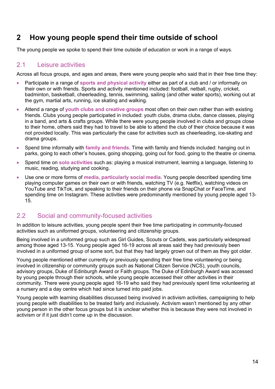## <span id="page-13-0"></span>**2 How young people spend their time outside of school**

The young people we spoke to spend their time outside of education or work in a range of ways.

## <span id="page-13-1"></span>2.1 Leisure activities

Across all focus groups, and ages and areas, there were young people who said that in their free time they:

- Participate in a range of **sports and physical activity** either as part of a club and / or informally on their own or with friends. Sports and activity mentioned included: football, netball, rugby, cricket, badminton, basketball, cheerleading, tennis, swimming, sailing (and other water sports), working out at the gym, martial arts, running, ice skating and walking.
- Attend a range of **youth clubs and creative groups** most often on their own rather than with existing friends. Clubs young people participated in included: youth clubs, drama clubs, dance classes, playing in a band, and arts & crafts groups. While there were young people involved in clubs and groups close to their home, others said they had to travel to be able to attend the club of their choice because it was not provided locally. This was particularly the case for activities such as cheerleading, ice-skating and drama groups.
- Spend time informally with **family and friends**. Time with family and friends included: hanging out in parks, going to each other's houses, going shopping, going out for food, going to the theatre or cinema.
- Spend time on **solo activities** such as: playing a musical instrument, learning a language, listening to music, reading, studying and cooking.
- Use one or more forms of **media, particularly social media**. Young people described spending time playing computer games on their own or with friends, watching TV (e.g. Netflix), watching videos on YouTube and TikTok, and speaking to their friends on their phone via SnapChat or FaceTime, and spending time on Instagram. These activities were predominantly mentioned by young people aged 13- 15.

## <span id="page-13-2"></span>2.2 Social and community-focused activities

In addition to leisure activities, young people spent their free time participating in community-focused activities such as uniformed groups, volunteering and citizenship groups.

Being involved in a uniformed group such as Girl Guides, Scouts or Cadets, was particularly widespread among those aged 13-15. Young people aged 16-19 across all areas said they had previously been involved in a uniformed group of some sort, but that they had largely grown out of them as they got older.

Young people mentioned either currently or previously spending their free time volunteering or being involved in citizenship or community groups such as National Citizen Service (NCS), youth councils, advisory groups, Duke of Edinburgh Award or Faith groups. The Duke of Edinburgh Award was accessed by young people through their schools, while young people accessed their other activities in their community. There were young people aged 16-19 who said they had previously spent time volunteering at a nursery and a day centre which had since turned into paid jobs.

Young people with learning disabilities discussed being involved in activism activities, campaigning to help young people with disabilities to be treated fairly and inclusively. Activism wasn't mentioned by any other young person in the other focus groups but it is unclear whether this is because they were not involved in activism or if it just didn't come up in the discussion.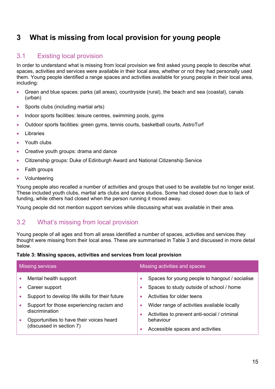## <span id="page-14-0"></span>**3 What is missing from local provision for young people**

## <span id="page-14-1"></span>3.1 Existing local provision

In order to understand what is missing from local provision we first asked young people to describe what spaces, activities and services were available in their local area, whether or not they had personally used them. Young people identified a range spaces and activities available for young people in their local area, including:

- Green and blue spaces: parks (all areas), countryside (rural), the beach and sea (coastal), canals (urban)
- Sports clubs (including martial arts)
- Indoor sports facilities: leisure centres, swimming pools, gyms
- Outdoor sports facilities: green gyms, tennis courts, basketball courts, AstroTurf
- **Libraries**
- Youth clubs
- Creative youth groups: drama and dance
- Citizenship groups: Duke of Edinburgh Award and National Citizenship Service
- Faith groups
- Volunteering

Young people also recalled a number of activities and groups that used to be available but no longer exist. These included youth clubs, martial arts clubs and dance studios. Some had closed down due to lack of funding, while others had closed when the person running it moved away.

Young people did not mention support services while discussing what was available in their area.

#### <span id="page-14-2"></span>3.2 What's missing from local provision

Young people of all ages and from all areas identified a number of spaces, activities and services they thought were missing from their local area. These are summarised in Table 3 and discussed in more detail below.

#### **Table 3: Missing spaces, activities and services from local provision**

| Missing services                           |                                                                                       | Missing activities and spaces |                                                                                                                                              |  |
|--------------------------------------------|---------------------------------------------------------------------------------------|-------------------------------|----------------------------------------------------------------------------------------------------------------------------------------------|--|
| Mental health support<br>Career support    | Support to develop life skills for their future                                       | $\bullet$                     | Spaces for young people to hangout / socialise<br>Spaces to study outside of school / home<br>Activities for older teens                     |  |
| discrimination<br>(discussed in section 7) | Support for those experiencing racism and<br>Opportunities to have their voices heard | $\bullet$                     | Wider range of activities available locally<br>Activities to prevent anti-social / criminal<br>behaviour<br>Accessible spaces and activities |  |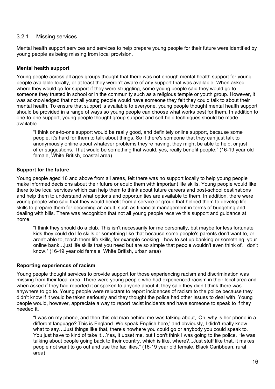#### <span id="page-15-0"></span>3.2.1 Missing services

Mental health support services and services to help prepare young people for their future were identified by young people as being missing from local provision.

#### **Mental health support**

Young people across all ages groups thought that there was not enough mental health support for young people available locally, or at least they weren't aware of any support that was available. When asked where they would go for support if they were struggling, some young people said they would go to someone they trusted in school or in the community such as a religious temple or youth group. However, it was acknowledged that not all young people would have someone they felt they could talk to about their mental health. To ensure that support is available to everyone, young people thought mental health support should be provided in a range of ways so young people can choose what works best for them. In addition to one-to-one support, young people thought group support and self-help techniques should be made available.

"I think one-to-one support would be really good, and definitely online support, because some people, it's hard for them to talk about things. So if there's someone that they can just talk to anonymously online about whatever problems they're having, they might be able to help, or just offer suggestions. That would be something that would, yes, really benefit people." (16-19 year old female, White British, coastal area)

#### **Support for the future**

Young people aged 16 and above from all areas, felt there was no support locally to help young people make informed decisions about their future or equip them with important life skills. Young people would like there to be local services which can help them to think about future careers and post-school destinations and help them to understand what options and opportunities are available to them. In addition, there were young people who said that they would benefit from a service or group that helped them to develop life skills to prepare them for becoming an adult, such as financial management in terms of budgeting and dealing with bills. There was recognition that not all young people receive this support and guidance at home.

"I think they should do a club. This isn't necessarily for me personally, but maybe for less fortunate kids they could do life skills or something like that because some people's parents don't want to, or aren't able to, teach them life skills, for example cooking…how to set up banking or something, your online bank…just life skills that you need but are so simple that people wouldn't even think of. I don't know." (16-19 year old female, White British, urban area)

#### **Reporting experiences of racism**

Young people thought services to provide support for those experiencing racism and discrimination was missing from their local area. There were young people who had experienced racism in their local area and when asked if they had reported it or spoken to anyone about it, they said they didn't think there was anywhere to go to. Young people were reluctant to report incidences of racism to the police because they didn't know if it would be taken seriously and they thought the police had other issues to deal with. Young people would, however, appreciate a way to report racist incidents and have someone to speak to if they needed it.

"I was on my phone, and then this old man behind me was talking about, 'Oh, why is her phone in a different language? This is England. We speak English here,' and obviously, I didn't really know what to say…Just things like that, there's nowhere you could go or anybody you could speak to. You just have to kind of take it…Yes, it upset me, but I don't think I was going to the police. He was talking about people going back to their country, which is like, where?...Just stuff like that, it makes people not want to go out and use the facilities." (16-19 year old female, Black Caribbean, rural area)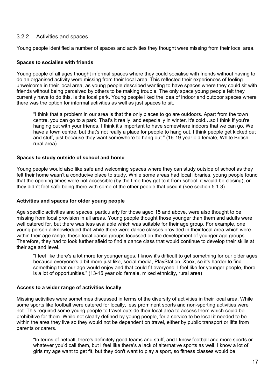#### <span id="page-16-0"></span>3.2.2 Activities and spaces

Young people identified a number of spaces and activities they thought were missing from their local area.

#### **Spaces to socialise with friends**

Young people of all ages thought informal spaces where they could socialise with friends without having to do an organised activity were missing from their local area. This reflected their experiences of feeling unwelcome in their local area, as young people described wanting to have spaces where they could sit with friends without being perceived by others to be making trouble. The only space young people felt they currently have to do this, is the local park. Young people liked the idea of indoor and outdoor spaces where there was the option for informal activities as well as just spaces to sit.

"I think that a problem in our area is that the only places to go are outdoors. Apart from the town centre, you can go to a park. That's it really, and especially in winter, it's cold…so I think if you're hanging out with your friends, I think it's important to have somewhere indoors that we can go. We have a town centre, but that's not really a place for people to hang out. I think people get kicked out and stuff, just because they want somewhere to hang out." (16-19 year old female, White British, rural area)

#### **Spaces to study outside of school and home**

Young people would also like safe and welcoming spaces where they can study outside of school as they felt their home wasn't a conducive place to study. While some areas had local libraries, young people found that the opening times were not accessible (by the time they got to it from school, it would be closing), or they didn't feel safe being there with some of the other people that used it (see section 5.1.3).

#### **Activities and spaces for older young people**

Age specific activities and spaces, particularly for those aged 15 and above, were also thought to be missing from local provision in all areas. Young people thought those younger than them and adults were well catered for, but there was less available which was suitable for their age group. For example, one young person acknowledged that while there were dance classes provided in their local area which were within their age range, these local dance groups focussed on the development of younger age groups. Therefore, they had to look further afield to find a dance class that would continue to develop their skills at their age and level.

"I feel like there's a lot more for younger ages. I know it's difficult to get something for our older ages because everyone's a bit more just like, social media, PlayStation, Xbox, so it's harder to find something that our age would enjoy and that could fit everyone. I feel like for younger people, there is a lot of opportunities." (13-15 year old female, mixed ethnicity, rural area)

#### **Access to a wider range of activities locally**

Missing activities were sometimes discussed in terms of the diversity of activities in their local area. While some sports like football were catered for locally, less prominent sports and non-sporting activities were not. This required some young people to travel outside their local area to access them which could be prohibitive for them. While not clearly defined by young people, for a service to be local it needed to be within the area they live so they would not be dependent on travel, either by public transport or lifts from parents or carers.

"In terms of netball, there's definitely good teams and stuff, and I know football and more sports or whatever you'd call them, but I feel like there's a lack of alternative sports as well. I know a lot of girls my age want to get fit, but they don't want to play a sport, so fitness classes would be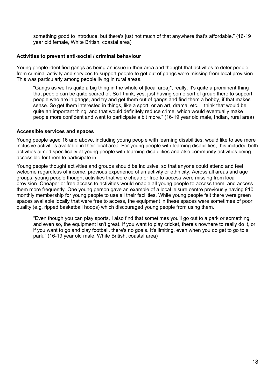something good to introduce, but there's just not much of that anywhere that's affordable." (16-19 year old female, White British, coastal area)

#### **Activities to prevent anti-social / criminal behaviour**

Young people identified gangs as being an issue in their area and thought that activities to deter people from criminal activity and services to support people to get out of gangs were missing from local provision. This was particularly among people living in rural areas.

"Gangs as well is quite a big thing in the whole of [local area]\*, really. It's quite a prominent thing that people can be quite scared of. So I think, yes, just having some sort of group there to support people who are in gangs, and try and get them out of gangs and find them a hobby, if that makes sense. So get them interested in things, like a sport, or an art, drama, etc., I think that would be quite an important thing, and that would definitely reduce crime, which would eventually make people more confident and want to participate a bit more." (16-19 year old male, Indian, rural area)

#### **Accessible services and spaces**

Young people aged 16 and above, including young people with learning disabilities, would like to see more inclusive activities available in their local area. For young people with learning disabilities, this included both activities aimed specifically at young people with learning disabilities and also community activities being accessible for them to participate in.

Young people thought activities and groups should be inclusive, so that anyone could attend and feel welcome regardless of income, previous experience of an activity or ethnicity. Across all areas and age groups, young people thought activities that were cheap or free to access were missing from local provision. Cheaper or free access to activities would enable all young people to access them, and access them more frequently. One young person gave an example of a local leisure centre previously having £10 monthly membership for young people to use all their facilities. While young people felt there were green spaces available locally that were free to access, the equipment in these spaces were sometimes of poor quality (e.g. ripped basketball hoops) which discouraged young people from using them.

"Even though you can play sports, I also find that sometimes you'll go out to a park or something, and even so, the equipment isn't great. If you want to play cricket, there's nowhere to really do it, or if you want to go and play football, there's no goals. It's limiting, even when you do get to go to a park." (16-19 year old male, White British, coastal area)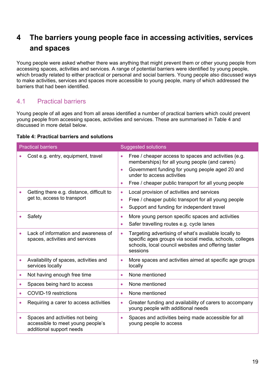## <span id="page-18-0"></span>**4 The barriers young people face in accessing activities, services and spaces**

Young people were asked whether there was anything that might prevent them or other young people from accessing spaces, activities and services. A range of potential barriers were identified by young people, which broadly related to either practical or personal and social barriers. Young people also discussed ways to make activities, services and spaces more accessible to young people, many of which addressed the barriers that had been identified.

## <span id="page-18-1"></span>4.1 Practical barriers

Young people of all ages and from all areas identified a number of practical barriers which could prevent young people from accessing spaces, activities and services. These are summarised in Table 4 and discussed in more detail below.

#### **Table 4: Practical barriers and solutions**

| <b>Practical barriers</b> |                                                                                                  |                                     | <b>Suggested solutions</b>                                                                                                                                                                                                                      |  |  |  |
|---------------------------|--------------------------------------------------------------------------------------------------|-------------------------------------|-------------------------------------------------------------------------------------------------------------------------------------------------------------------------------------------------------------------------------------------------|--|--|--|
|                           | Cost e.g. entry, equipment, travel                                                               | $\bullet$<br>$\bullet$<br>$\bullet$ | Free / cheaper access to spaces and activities (e.g.<br>memberships) for all young people (and carers)<br>Government funding for young people aged 20 and<br>under to access activities<br>Free / cheaper public transport for all young people |  |  |  |
|                           | Getting there e.g. distance, difficult to<br>get to, access to transport                         | $\bullet$<br>$\bullet$<br>$\bullet$ | Local provision of activities and services<br>Free / cheaper public transport for all young people<br>Support and funding for independent travel                                                                                                |  |  |  |
|                           | Safety                                                                                           | $\bullet$<br>$\bullet$              | More young person specific spaces and activities<br>Safer travelling routes e.g. cycle lanes                                                                                                                                                    |  |  |  |
|                           | Lack of information and awareness of<br>spaces, activities and services                          | $\bullet$                           | Targeting advertising of what's available locally to<br>specific ages groups via social media, schools, colleges<br>schools, local council websites and offering taster<br>sessions                                                             |  |  |  |
| $\bullet$                 | Availability of spaces, activities and<br>services locally                                       | $\bullet$                           | More spaces and activities aimed at specific age groups<br>locally                                                                                                                                                                              |  |  |  |
| $\bullet$                 | Not having enough free time                                                                      | $\bullet$                           | None mentioned                                                                                                                                                                                                                                  |  |  |  |
|                           | Spaces being hard to access                                                                      | $\bullet$                           | None mentioned                                                                                                                                                                                                                                  |  |  |  |
|                           | COVID-19 restrictions                                                                            | $\bullet$                           | None mentioned                                                                                                                                                                                                                                  |  |  |  |
|                           | Requiring a carer to access activities                                                           | $\bullet$                           | Greater funding and availability of carers to accompany<br>young people with additional needs                                                                                                                                                   |  |  |  |
|                           | Spaces and activities not being<br>accessible to meet young people's<br>additional support needs | $\bullet$                           | Spaces and activities being made accessible for all<br>young people to access                                                                                                                                                                   |  |  |  |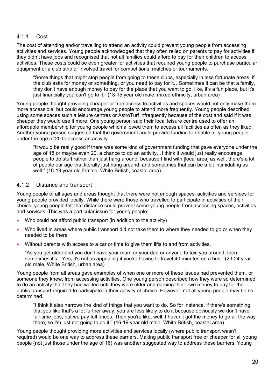#### <span id="page-19-0"></span>4.1.1 Cost

The cost of attending and/or travelling to attend an activity could prevent young people from accessing activities and services. Young people acknowledged that they often relied on parents to pay for activities if they didn't have jobs and recognised that not all families could afford to pay for their children to access activities. These costs could be even greater for activities that required young people to purchase particular equipment or a club strip or involved travel for competitions, matches or tournaments.

"Some things that might stop people from going to these clubs, especially in less fortunate areas, if the club asks for money or something, or you need to pay for it…Sometimes it can be that a family, they don't have enough money to pay for the place that you want to go, like, it's a fun place, but it's just financially you can't go to it." (13-15 year old male, mixed ethnicity, urban area)

Young people thought providing cheaper or free access to activities and spaces would not only make them more accessible, but could encourage young people to attend more frequently. Young people described using some spaces such a leisure centres or AstroTurf infrequently because of the cost and said if it was cheaper they would use it more. One young person said their local leisure centre used to offer an affordable membership for young people which allowed them to access all facilities as often as they liked. Another young person suggested that the government could provide funding to enable all young people under the age of 20 to access an activity.

"It would be really good if there was some kind of government funding that gave everyone under the age of 18 or maybe even 20, a chance to do an activity…I think it would just really encourage people to do stuff rather than just hang around, because I find with [local area] as well, there's a lot of people our age that literally just hang around, and sometimes that can be a bit intimidating as well." (16-19 year old female, White British, coastal area)

#### <span id="page-19-1"></span>4.1.2 Distance and transport

Young people of all ages and areas thought that there were not enough spaces, activities and services for young people provided locally. While there were those who travelled to participate in activities of their choice, young people felt that distance could prevent some young people from accessing spaces, activities and services. This was a particular issue for young people:

- Who could not afford public transport (in addition to the activity)
- Who lived in areas where public transport did not take them to where they needed to go or when they needed to be there
- Without parents with access to a car or time to give them lifts to and from activities.

"As you get older and you don't have your mum or your dad or anyone to taxi you around, then sometimes it's…Yes, it's not as appealing if you're having to travel 40 minutes on a bus." (20-24 year old male, White British, urban area)

Young people from all areas gave examples of when one or more of these issues had prevented them, or someone they knew, from accessing activities. One young person described how they were so determined to do an activity that they had waited until they were older and earning their own money to pay for the public transport required to participate in their activity of choice. However, not all young people may be so determined.

"I think it also narrows the kind of things that you want to do. So for instance, if there's something that you like that's a lot further away, you are less likely to do it because obviously we don't have full-time jobs, but we pay full prices. Then you're like, well, I haven't got the money to go all the way there, so I'm just not going to do it." (16-19 year old male, White British, coastal area)

Young people thought providing more activities and services locally (where public transport wasn't required) would be one way to address these barriers. Making public transport free or cheaper for all young people (not just those under the age of 16) was another suggested way to address these barriers. Young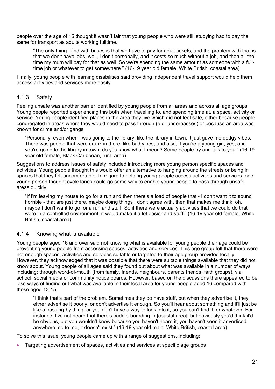people over the age of 16 thought it wasn't fair that young people who were still studying had to pay the same for transport as adults working fulltime.

"The only thing I find with buses is that we have to pay for adult tickets, and the problem with that is that we don't have jobs, well, I don't personally, and it costs so much without a job, and then all the time my mum will pay for that as well. So we're spending the same amount as someone with a fulltime job or whatever to get somewhere." (16-19 year old female, White British, coastal area)

Finally, young people with learning disabilities said providing independent travel support would help them access activities and services more easily.

#### <span id="page-20-0"></span>4.1.3 Safety

Feeling unsafe was another barrier identified by young people from all areas and across all age groups. Young people reported experiencing this both when travelling to, and spending time at, a space, activity or service. Young people identified places in the area they live which did not feel safe, either because people congregated in areas where they would need to pass through (e.g. underpasses) or because an area was known for crime and/or gangs.

"Personally, even when I was going to the library, like the library in town, it just gave me dodgy vibes. There was people that were drunk in there, like bad vibes, and also, if you're a young girl, yes, and you're going to the library in town, do you know what I mean? Some people try and talk to you." (16-19 year old female, Black Caribbean, rural area)

Suggestions to address issues of safety included introducing more young person specific spaces and activities. Young people thought this would offer an alternative to hanging around the streets or being in spaces that they felt uncomfortable. In regard to helping young people access activities and services, one young person thought cycle lanes could go some way to enable young people to pass through unsafe areas quickly.

"If I'm leaving my house to go for a run and then there's a load of people that - I don't want it to sound horrible - that are just there, maybe doing things I don't agree with, then that makes me think, oh, maybe I don't want to go for a run and stuff. So if there were actually activities that we could do that were in a controlled environment, it would make it a lot easier and stuff." (16-19 year old female, White British, coastal area)

#### <span id="page-20-1"></span>4.1.4 Knowing what is available

Young people aged 16 and over said not knowing what is available for young people their age could be preventing young people from accessing spaces, activities and services. This age group felt that there were not enough spaces, activities and services suitable or targeted to their age group provided locally. However, they acknowledged that it was possible that there were suitable things available that they did not know about. Young people of all ages said they found out about what was available in a number of ways including: through word-of-mouth (from family, friends, neighbours, parents friends, faith groups), via school, social media or community notice boards. However, based on the discussions there appeared to be less ways of finding out what was available in their local area for young people aged 16 compared with those aged 13-15.

"I think that's part of the problem. Sometimes they do have stuff, but when they advertise it, they either advertise it poorly, or don't advertise it enough. So you'll hear about something and it'll just be like a passing-by thing, or you don't have a way to look into it, so you can't find it, or whatever. For instance, I've not heard that there's paddle-boarding in [coastal area], but obviously you'd think it'd be obvious, but you wouldn't know because you haven't heard it, you haven't seen it advertised anywhere, so to me, it doesn't exist." (16-19 year old male, White British, coastal area)

To solve this issue, young people came up with a range of suggestions, including:

• Targeting advertisement of spaces, activities and services at specific age groups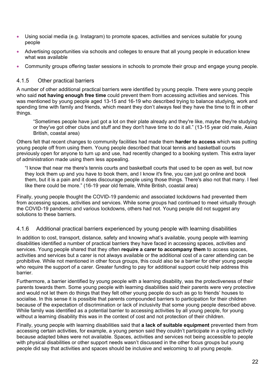- Using social media (e.g. Instagram) to promote spaces, activities and services suitable for young people
- Advertising opportunities via schools and colleges to ensure that all young people in education knew what was available
- Community groups offering taster sessions in schools to promote their group and engage young people.

#### <span id="page-21-0"></span>4.1.5 Other practical barriers

A number of other additional practical barriers were identified by young people. There were young people who said **not having enough free time** could prevent them from accessing activities and services. This was mentioned by young people aged 13-15 and 16-19 who described trying to balance studying, work and spending time with family and friends, which meant they don't always feel they have the time to fit in other things.

"Sometimes people have just got a lot on their plate already and they're like, maybe they're studying or they've got other clubs and stuff and they don't have time to do it all." (13-15 year old male, Asian British, coastal area)

Others felt that recent changes to community facilities had made them **harder to access** which was putting young people off from using them. Young people described that local tennis and basketball courts previously open for anyone to turn up and use, had recently changed to a booking system. This extra layer of administration made using them less appealing.

"I know that near me there's tennis courts and basketball courts that used to be open as well, but now they lock them up and you have to book them, and I know it's fine, you can just go online and book them, but it is a pain and it does discourage people using those things. There's also not that many. I feel like there could be more." (16-19 year old female, White British, coastal area)

Finally, young people thought the COVID-19 pandemic and associated lockdowns had prevented them from accessing spaces, activities and services. While some groups had continued to meet virtually through the COVID-19 pandemic and various lockdowns, others had not. Young people did not suggest any solutions to these barriers.

#### <span id="page-21-1"></span>4.1.6 Additional practical barriers experienced by young people with learning disabilities

In addition to cost, transport, distance, safety and knowing what's available, young people with learning disabilities identified a number of practical barriers they have faced in accessing spaces, activities and services. Young people shared that they often **require a carer to accompany them** to access spaces, activities and services but a carer is not always available or the additional cost of a carer attending can be prohibitive. While not mentioned in other focus groups, this could also be a barrier for other young people who require the support of a carer. Greater funding to pay for additional support could help address this barrier.

Furthermore, a barrier identified by young people with a learning disability, was the protectiveness of their parents towards them. Some young people with learning disabilities said their parents were very protective and would not let them do things that they felt other young people do such as go to friends' houses to socialise. In this sense it is possible that parents compounded barriers to participation for their children because of the expectation of discrimination or lack of inclusivity that some young people described above. While family was identified as a potential barrier to accessing activities by all young people, for young without a learning disability this was in the context of cost and not protection of their children.

Finally, young people with learning disabilities said that **a lack of suitable equipment** prevented them from accessing certain activities, for example, a young person said they couldn't participate in a cycling activity because adapted bikes were not available. Spaces, activities and services not being accessible to people with physical disabilities or other support needs wasn't discussed in the other focus groups but young people did say that activities and spaces should be inclusive and welcoming to all young people.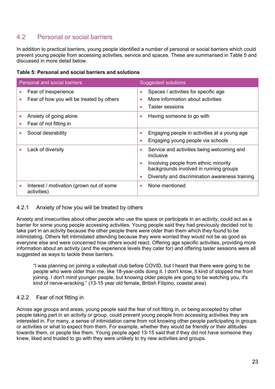## <span id="page-22-0"></span>4.2 Personal or social barriers

In addition to practical barriers, young people identified a number of personal or social barriers which could prevent young people from accessing activities, service and spaces. These are summarised in Table 5 and discussed in more detail below.

|  |  |  | Table 5: Personal and social barriers and solutions |
|--|--|--|-----------------------------------------------------|
|  |  |  |                                                     |

| Personal and social barriers                                      | <b>Suggested solutions</b>                                                                                                                                                                                                           |  |  |  |
|-------------------------------------------------------------------|--------------------------------------------------------------------------------------------------------------------------------------------------------------------------------------------------------------------------------------|--|--|--|
| Fear of inexperience<br>Fear of how you will be treated by others | Spaces / activities for specific age<br>$\bullet$<br>More information about activities<br>٠<br>Taster sessions<br>$\bullet$                                                                                                          |  |  |  |
| Anxiety of going alone<br>Fear of not fitting in                  | Having someone to go with<br>$\bullet$                                                                                                                                                                                               |  |  |  |
| Social desirability                                               | Engaging people in activities at a young age<br>$\bullet$<br>Engaging young people via schools<br>$\bullet$                                                                                                                          |  |  |  |
| Lack of diversity                                                 | Service and activities being welcoming and<br>$\bullet$<br>inclusive<br>Involving people from ethnic minority<br>$\bullet$<br>backgrounds involved in running groups<br>Diversity and discrimination awareness training<br>$\bullet$ |  |  |  |
| Interest / motivation (grown out of some<br>activities)           | None mentioned<br>$\bullet$                                                                                                                                                                                                          |  |  |  |

#### <span id="page-22-1"></span>4.2.1 Anxiety of how you will be treated by others

Anxiety and insecurities about other people who use the space or participate in an activity, could act as a barrier for some young people accessing activities. Young people said they had previously decided not to take part in an activity because the other people there were older than them which they found to be intimidating. Others felt intimidated attending because they were worried they would not be as good as everyone else and were concerned how others would react. Offering age specific activities, providing more information about an activity (and the experience levels they cater for) and offering taster sessions were all suggested as ways to tackle these barriers.

"I was planning on joining a volleyball club before COVID, but I heard that there were going to be people who were older than me, like 18-year-olds doing it. I don't know, it kind of stopped me from joining. I don't mind younger people, but knowing older people are going to be watching you, it's kind of nerve-wracking." (13-15 year old female, British Filipino, coastal area)

#### <span id="page-22-2"></span>4.2.2 Fear of not fitting in

Across age groups and areas, young people said the fear of not fitting in, or being accepted by other people taking part in an activity or group, could prevent young people from accessing activities they are interested in. For many, a sense of intimidation came from not knowing other people participating in groups or activities or what to expect from them. For example, whether they would be friendly or their attitudes towards them, or people like them. Young people aged 13-15 said that if they did not have someone they knew, liked and trusted to go with they were unlikely to try new activities and groups.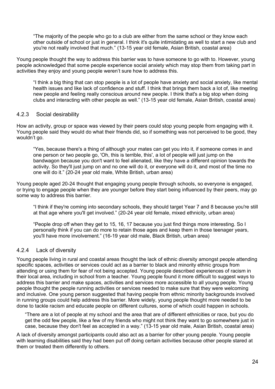"The majority of the people who go to a club are either from the same school or they know each other outside of school or just in general. I think it's quite intimidating as well to start a new club and you're not really involved that much." (13-15 year old female, Asian British, coastal area)

Young people thought the way to address this barrier was to have someone to go with to. However, young people acknowledged that some people experience social anxiety which may stop them from taking part in activities they enjoy and young people weren't sure how to address this.

"I think a big thing that can stop people is a lot of people have anxiety and social anxiety, like mental health issues and like lack of confidence and stuff. I think that brings them back a lot of, like meeting new people and feeling really conscious around new people. I think that's a big stop when doing clubs and interacting with other people as well." (13-15 year old female, Asian British, coastal area)

#### <span id="page-23-0"></span>4.2.3 Social desirability

How an activity, group or space was viewed by their peers could stop young people from engaging with it. Young people said they would do what their friends did, so if something was not perceived to be good, they wouldn't go.

"Yes, because there's a thing of although your mates can get you into it, if someone comes in and one person or two people go, 'Oh, this is terrible, this', a lot of people will just jump on the bandwagon because you don't want to feel alienated, like they have a different opinion towards the activity. So they'll just jump on and no one will do it, or everyone will do it, and most of the time no one will do it." (20-24 year old male, White British, urban area)

Young people aged 20-24 thought that engaging young people through schools, so everyone is engaged, or trying to engage people when they are younger before they start being influenced by their peers, may go some way to address this barrier.

"I think if they're coming into secondary schools, they should target Year 7 and 8 because you're still at that age where you'll get involved." (20-24 year old female, mixed ethnicity, urban area)

"People drop off when they get to 15, 16, 17 because you just find things more interesting. So I personally think if you can do more to retain those ages and keep them in those teenager years, you'll have more involvement." (16-19 year old male, Black British, urban area)

#### <span id="page-23-1"></span>4.2.4 Lack of diversity

Young people living in rural and coastal areas thought the lack of ethnic diversity amongst people attending specific spaces, activities or services could act as a barrier to black and minority ethnic groups from attending or using them for fear of not being accepted. Young people described experiences of racism in their local area, including in school from a teacher. Young people found it more difficult to suggest ways to address this barrier and make spaces, activities and services more accessible to all young people. Young people thought the people running activities or services needed to make sure that they were welcoming and inclusive. One young person suggested that having people from ethnic minority backgrounds involved in running groups could help address this barrier. More widely, young people thought more needed to be done to tackle racism and educate people on different cultures, some of which could happen in schools.

"There are a lot of people at my school and the area that are of different ethnicities or race, but you do get the odd few people, like a few of my friends who might not think they want to go somewhere just in case, because they don't feel as accepted in a way." (13-15 year old male, Asian British, coastal area)

A lack of diversity amongst participants could also act as a barrier for other young people. Young people with learning disabilities said they had been put off doing certain activities because other people stared at them or treated them differently to others.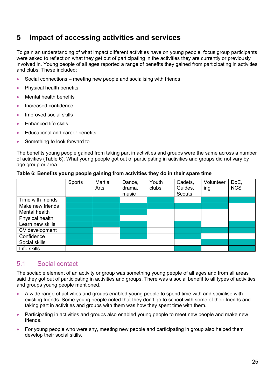## <span id="page-24-0"></span>**5 Impact of accessing activities and services**

To gain an understanding of what impact different activities have on young people, focus group participants were asked to reflect on what they get out of participating in the activities they are currently or previously involved in. Young people of all ages reported a range of benefits they gained from participating in activities and clubs. These included:

- Social connections meeting new people and socialising with friends
- Physical health benefits
- Mental health benefits
- Increased confidence
- Improved social skills
- Enhanced life skills
- Educational and career benefits
- Something to look forward to

The benefits young people gained from taking part in activities and groups were the same across a number of activities (Table 6). What young people got out of participating in activities and groups did not vary by age group or area.

#### **Table 6: Benefits young people gaining from activities they do in their spare time**

|                   | Sports | <b>Martial</b><br>Arts | Dance,<br>drama,<br>music | Youth<br>clubs | Cadets,<br>Guides,<br><b>Scouts</b> | Volunteer<br>ing | DoE,<br><b>NCS</b> |
|-------------------|--------|------------------------|---------------------------|----------------|-------------------------------------|------------------|--------------------|
| Time with friends |        |                        |                           |                |                                     |                  |                    |
| Make new friends  |        |                        |                           |                |                                     |                  |                    |
| Mental health     |        |                        |                           |                |                                     |                  |                    |
| Physical health   |        |                        |                           |                |                                     |                  |                    |
| Learn new skills  |        |                        |                           |                |                                     |                  |                    |
| CV development    |        |                        |                           |                |                                     |                  |                    |
| Confidence        |        |                        |                           |                |                                     |                  |                    |
| Social skills     |        |                        |                           |                |                                     |                  |                    |
| Life skills       |        |                        |                           |                |                                     |                  |                    |

#### 5.1 Social contact

The sociable element of an activity or group was something young people of all ages and from all areas said they got out of participating in activities and groups. There was a social benefit to all types of activities and groups young people mentioned.

- A wide range of activities and groups enabled young people to spend time with and socialise with existing friends. Some young people noted that they don't go to school with some of their friends and taking part in activities and groups with them was how they spent time with them.
- Participating in activities and groups also enabled young people to meet new people and make new friends.
- For young people who were shy, meeting new people and participating in group also helped them develop their social skills.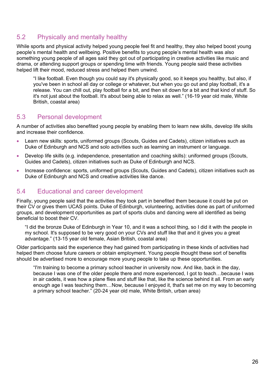## 5.2 Physically and mentally healthy

While sports and physical activity helped young people feel fit and healthy, they also helped boost young people's mental health and wellbeing. Positive benefits to young people's mental health was also something young people of all ages said they got out of participating in creative activities like music and drama, or attending support groups or spending time with friends. Young people said these activities helped lift their mood, reduced stress and helped them unwind.

"I like football. Even though you could say it's physically good, so it keeps you healthy, but also, if you've been in school all day or college or whatever, but when you go out and play football, it's a release. You can chill out, play football for a bit, and then sit down for a bit and that kind of stuff. So it's not just about the football. It's about being able to relax as well." (16-19 year old male, White British, coastal area)

## 5.3 Personal development

A number of activities also benefited young people by enabling them to learn new skills, develop life skills and increase their confidence.

- Learn new skills: sports, uniformed groups (Scouts, Guides and Cadets), citizen initiatives such as Duke of Edinburgh and NCS and solo activities such as learning an instrument or language.
- Develop life skills (e.g. independence, presentation and coaching skills): uniformed groups (Scouts, Guides and Cadets), citizen initiatives such as Duke of Edinburgh and NCS.
- Increase confidence: sports, uniformed groups (Scouts, Guides and Cadets), citizen initiatives such as Duke of Edinburgh and NCS and creative activities like dance.

## 5.4 Educational and career development

Finally, young people said that the activities they took part in benefited them because it could be put on their CV or gives them UCAS points. Duke of Edinburgh, volunteering, activities done as part of uniformed groups, and development opportunities as part of sports clubs and dancing were all identified as being beneficial to boost their CV.

"I did the bronze Duke of Edinburgh in Year 10, and it was a school thing, so I did it with the people in my school. It's supposed to be very good on your CVs and stuff like that and it gives you a great advantage." (13-15 year old female, Asian British, coastal area)

Older participants said the experience they had gained from participating in these kinds of activities had helped them choose future careers or obtain employment. Young people thought these sort of benefits should be advertised more to encourage more young people to take up these opportunities.

"I'm training to become a primary school teacher in university now. And like, back in the day, because I was one of the older people there and more experienced, I got to teach…because I was in air cadets, it was how a plane flies and stuff like that, like the science behind it all. From an early enough age I was teaching them…Now, because I enjoyed it, that's set me on my way to becoming a primary school teacher." (20-24 year old male, White British, urban area)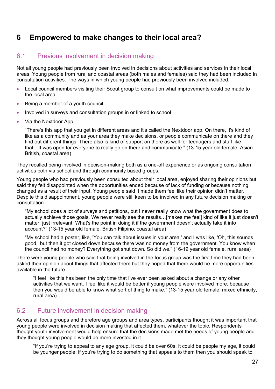## <span id="page-26-0"></span>**6 Empowered to make changes to their local area?**

## <span id="page-26-1"></span>6.1 Previous involvement in decision making

Not all young people had previously been involved in decisions about activities and services in their local areas. Young people from rural and coastal areas (both males and females) said they had been included in consultation activities. The ways in which young people had previously been involved included:

- Local council members visiting their Scout group to consult on what improvements could be made to the local area
- Being a member of a youth council
- Involved in surveys and consultation groups in or linked to school
- Via the Nextdoor App

"There's this app that you get in different areas and it's called the Nextdoor app. On there, it's kind of like as a community and as your area they make decisions, or people communicate on there and they find out different things. There also is kind of support on there as well for teenagers and stuff like that…It was open for everyone to really go on there and communicate." (13-15 year old female, Asian British, coastal area)

They recalled being involved in decision-making both as a one-off experience or as ongoing consultation activities both via school and through community based groups.

Young people who had previously been consulted about their local area, enjoyed sharing their opinions but said they felt disappointed when the opportunities ended because of lack of funding or because nothing changed as a result of their input. Young people said it made them feel like their opinion didn't matter. Despite this disappointment, young people were still keen to be involved in any future decision making or consultation.

"My school does a lot of surveys and petitions, but I never really know what the government does to actually achieve those goals. We never really see the results…[makes me feel] kind of like it just doesn't matter, just irrelevant. What's the point in doing it if the government doesn't actually take it into account?" (13-15 year old female, British Filipino, coastal area)

"My school had a poster, like, 'You can talk about issues in your area,' and I was like, 'Oh, this sounds good,' but then it got closed down because there was no money from the government. You know when the council had no money? Everything got shut down. So did we." (16-19 year old female, rural area)

There were young people who said that being involved in the focus group was the first time they had been asked their opinion about things that affected them but they hoped that there would be more opportunities available in the future.

"I feel like this has been the only time that I've ever been asked about a change or any other activities that we want. I feel like it would be better if young people were involved more, because then you would be able to know what sort of thing to make." (13-15 year old female, mixed ethnicity, rural area)

#### <span id="page-26-2"></span>6.2 Future involvement in decision making

Across all focus groups and therefore age groups and area types, participants thought it was important that young people were involved in decision making that affected them, whatever the topic. Respondents thought youth involvement would help ensure that the decisions made met the needs of young people and they thought young people would be more invested in it.

"If you're trying to appeal to any age group, it could be over 60s, it could be people my age, it could be younger people; if you're trying to do something that appeals to them then you should speak to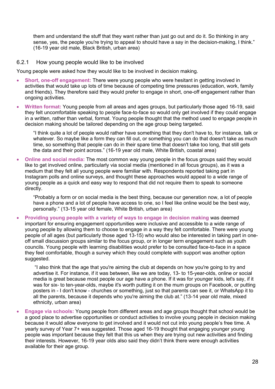them and understand the stuff that they want rather than just go out and do it. So thinking in any sense, yes, the people you're trying to appeal to should have a say in the decision-making, I think." (16-19 year old male, Black British, urban area)

#### <span id="page-27-0"></span>6.2.1 How young people would like to be involved

Young people were asked how they would like to be involved in decision making.

- **Short, one-off engagement:** There were young people who were hesitant in getting involved in activities that would take up lots of time because of competing time pressures (education, work, family and friends). They therefore said they would prefer to engage in short, one-off engagement rather than ongoing activities.
- **Written format:** Young people from all areas and ages groups, but particularly those aged 16-19, said they felt uncomfortable speaking to people face-to-face so would only get involved if they could engage in a written, rather than verbal, format. Young people thought that the method used to engage people in decision making should be tailored depending on the age group being targeted.

"I think quite a lot of people would rather have something that they don't have to, for instance, talk or whatever. So maybe like a form they can fill out, or something you can do that doesn't take as much time, so something that people can do in their spare time that doesn't take too long, that still gets the data and their point across." (16-19 year old male, White British, coastal area)

• **Online and social media:** The most common way young people in the focus groups said they would like to get involved online, particularly via social media (mentioned in all focus groups), as it was a medium that they felt all young people were familiar with. Respondents reported taking part in Instagram polls and online surveys, and thought these approaches would appeal to a wide range of young people as a quick and easy way to respond that did not require them to speak to someone directly.

"Probably a form or on social media is the best thing, because our generation now, a lot of people have a phone and a lot of people have access to one, so I feel like online would be the best way, personally." (13-15 year old female, White British, urban area)

• **Providing young people with a variety of ways to engage in decision making** was deemed important for ensuring engagement opportunities were inclusive and accessible to a wide range of young people by allowing them to choose to engage in a way they felt comfortable. There were young people of all ages (but particularly those aged 13-15) who would also be interested in taking part in oneoff small discussion groups similar to the focus group, or in longer term engagement such as youth councils. Young people with learning disabilities would prefer to be consulted face-to-face in a space they feel comfortable, though a survey which they could complete with support was another option suggested.

"I also think that the age that you're aiming the club at depends on how you're going to try and advertise it. For instance, if it was between, like we are today, 13- to 15-year-olds, online or social media is great because most people our age have a phone. If it was for younger kids, let's say, if it was for six- to ten-year-olds, maybe it's worth putting it on the mum groups on Facebook, or putting posters in - I don't know - churches or something, just so that parents can see it, or WhatsApp it to all the parents, because it depends who you're aiming the club at." (13-14 year old male, mixed ethnicity, urban area)

• **Engage via schools:** Young people from different areas and age groups thought that school would be a good place to advertise opportunities or conduct activities to involve young people in decision making because it would allow everyone to get involved and it would not cut into young people's free time. A yearly survey of Year 7+ was suggested. Those aged 16-19 thought that engaging younger young people was important because they felt that this us when they are trying out new activities and finding their interests. However, 16-19 year olds also said they didn't think there were enough activities available for their age group.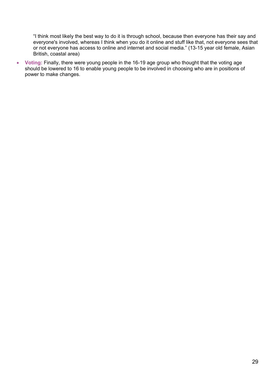"I think most likely the best way to do it is through school, because then everyone has their say and everyone's involved, whereas I think when you do it online and stuff like that, not everyone sees that or not everyone has access to online and internet and social media." (13-15 year old female, Asian British, coastal area)

• **Voting:** Finally, there were young people in the 16-19 age group who thought that the voting age should be lowered to 16 to enable young people to be involved in choosing who are in positions of power to make changes.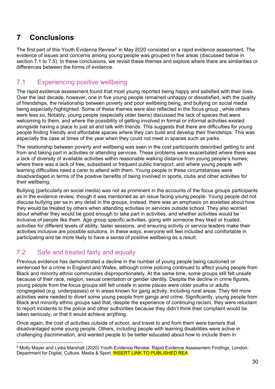## <span id="page-29-0"></span>**7 Conclusions**

The first part of this Youth Evidence Review<sup>[6](#page-29-3)</sup> in May 2020 consisted on a rapid evidence assessment. The evidence of issues and concerns among young people was grouped in five areas (discussed below in section 7.1 to 7.5). In these conclusions, we revisit these themes and explore where there are similarities or differences between the forms of evidence.

## <span id="page-29-1"></span>7.1 Experiencing positive wellbeing

The rapid evidence assessment found that most young reported being happy and satisfied with their lives. Over the last decade, however, one in five young people remained unhappy or dissatisfied, with the quality of friendships, the relationship between poverty and poor wellbeing being, and bullying on social media being especially highlighted. Some of these themes were also reflected in the focus group , while others were less so. Notably, young people (especially older teens) discussed the lack of spaces that were welcoming to them, and where the possibility of getting involved in formal or informal activities existed alongside having a place to just sit and talk with friends. This suggests that there are difficulties for young people finding friendly and affordable spaces where they can build and develop their friendships. This was especially the case at times of the year when they could not meet in spaces such as parks.

The relationship between poverty and wellbeing was seen in the cost participants described getting to and from and taking part in activities or attending services. These problems were exacerbated where there was a lack of diversity of available activities within reasonable walking distance from young people's homes; where there was a lack of free, subsidised or frequent public transport; and where young people with learning difficulties need a carer to attend with them. Young people in these circumstances were disadvantaged in terms of the positive benefits of being involved in sports, clubs and other activities for their wellbeing.

Bullying (particularly on social media) was not as prominent in the accounts of the focus groups participants as in the evidence review, though it was mentioned as an issue facing young people. Young people did not discuss bullying per se in any detail in the groups, instead, there was an emphasis on anxieties about how they would be treated by others when attending activities or services outside school. They also worried about whether they would be good enough to take part in activities, and whether activities would be inclusive of people like them. Age group specific activities, going with someone they liked or trusted, activities for different levels of ability, taster sessions, and ensuring activity or service leaders make their activities inclusive are possible solutions. In these ways, everyone will feel included and comfortable in participating and be more likely to have a sense of positive wellbeing as a result.

## <span id="page-29-2"></span>7.2 Safe and treated fairly and equally

Previous evidence has demonstrated a decline in the number of young people being cautioned or sentenced for a crime in England and Wales, although crime policing continued to affect young people from Black and minority ethnic communities disproportionately. At the same time, some groups still felt unsafe because of their race, religion, sexual orientation or gender identity. Despite the decline in crime figures, young people from the focus groups still felt unsafe in some places were older youths or adults congregated (e.g. underpasses) or in areas known for gang activity, including rural areas. They felt more activities were needed to divert some young people from gangs and crime. Significantly, young people from Black and minority ethnic groups said that, despite the experience of continuing racism, they were reluctant to report incidents to the police and other authorities because they didn't think their complaint would be taken seriously, or that it would achieve anything.

Once again, the cost of activities outside of school, and travel to and from them were barriers that disadvantaged some young people. Others, including people with learning disabilities were active in challenging discrimination, and wanted people to be better educated about how to include them in

<span id="page-29-3"></span> <sup>6</sup> Molly Mayer and Lydia Marshall (2020) Youth Evidence Review: Rapid Evidence Assessment Findings, London: Department for Digital, Culture, Media & Sport. INSERT LINK TO PUBLISHED REA